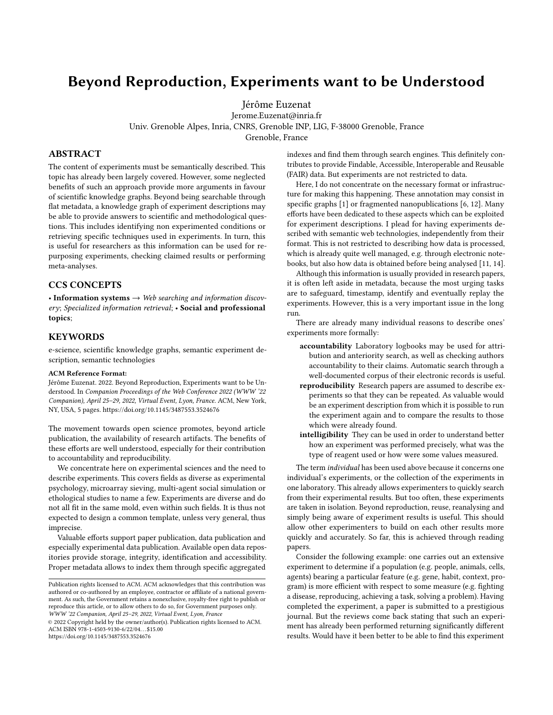# Beyond Reproduction, Experiments want to be Understood

Jérôme Euzenat

Jerome.Euzenat@inria.fr Univ. Grenoble Alpes, Inria, CNRS, Grenoble INP, LIG, F-38000 Grenoble, France Grenoble, France

# ABSTRACT

The content of experiments must be semantically described. This topic has already been largely covered. However, some neglected benefits of such an approach provide more arguments in favour of scientific knowledge graphs. Beyond being searchable through flat metadata, a knowledge graph of experiment descriptions may be able to provide answers to scientific and methodological questions. This includes identifying non experimented conditions or retrieving specific techniques used in experiments. In turn, this is useful for researchers as this information can be used for repurposing experiments, checking claimed results or performing meta-analyses.

### CCS CONCEPTS

• Information systems  $\rightarrow$  Web searching and information discovery; Specialized information retrieval; • Social and professional topics;

### **KEYWORDS**

e-science, scientific knowledge graphs, semantic experiment description, semantic technologies

#### ACM Reference Format:

Jérôme Euzenat. 2022. Beyond Reproduction, Experiments want to be Understood. In Companion Proceedings of the Web Conference 2022 (WWW '22 Companion), April 25–29, 2022, Virtual Event, Lyon, France. ACM, New York, NY, USA, [5](#page-4-0) pages.<https://doi.org/10.1145/3487553.3524676>

The movement towards open science promotes, beyond article publication, the availability of research artifacts. The benefits of these efforts are well understood, especially for their contribution to accountability and reproducibility.

We concentrate here on experimental sciences and the need to describe experiments. This covers fields as diverse as experimental psychology, microarray sieving, multi-agent social simulation or ethological studies to name a few. Experiments are diverse and do not all fit in the same mold, even within such fields. It is thus not expected to design a common template, unless very general, thus imprecise.

Valuable efforts support paper publication, data publication and especially experimental data publication. Available open data repositories provide storage, integrity, identification and accessibility. Proper metadata allows to index them through specific aggregated

indexes and find them through search engines. This definitely contributes to provide Findable, Accessible, Interoperable and Reusable (FAIR) data. But experiments are not restricted to data.

Here, I do not concentrate on the necessary format or infrastructure for making this happening. These annotation may consist in specific graphs [\[1\]](#page-4-1) or fragmented nanopublications [\[6,](#page-4-2) [12\]](#page-4-3). Many efforts have been dedicated to these aspects which can be exploited for experiment descriptions. I plead for having experiments described with semantic web technologies, independently from their format. This is not restricted to describing how data is processed, which is already quite well managed, e.g. through electronic notebooks, but also how data is obtained before being analysed [\[11,](#page-4-4) [14\]](#page-4-5).

Although this information is usually provided in research papers, it is often left aside in metadata, because the most urging tasks are to safeguard, timestamp, identify and eventually replay the experiments. However, this is a very important issue in the long run.

There are already many individual reasons to describe ones' experiments more formally:

- accountability Laboratory logbooks may be used for attribution and anteriority search, as well as checking authors accountability to their claims. Automatic search through a well-documented corpus of their electronic records is useful.
- reproducibility Research papers are assumed to describe experiments so that they can be repeated. As valuable would be an experiment description from which it is possible to run the experiment again and to compare the results to those which were already found.
- intelligibility They can be used in order to understand better how an experiment was performed precisely, what was the type of reagent used or how were some values measured.

The term individual has been used above because it concerns one individual's experiments, or the collection of the experiments in one laboratory. This already allows experimenters to quickly search from their experimental results. But too often, these experiments are taken in isolation. Beyond reproduction, reuse, reanalysing and simply being aware of experiment results is useful. This should allow other experimenters to build on each other results more quickly and accurately. So far, this is achieved through reading papers.

Consider the following example: one carries out an extensive experiment to determine if a population (e.g. people, animals, cells, agents) bearing a particular feature (e.g. gene, habit, context, program) is more efficient with respect to some measure (e.g. fighting a disease, reproducing, achieving a task, solving a problem). Having completed the experiment, a paper is submitted to a prestigious journal. But the reviews come back stating that such an experiment has already been performed returning significantly different results. Would have it been better to be able to find this experiment

Publication rights licensed to ACM. ACM acknowledges that this contribution was authored or co-authored by an employee, contractor or affiliate of a national government. As such, the Government retains a nonexclusive, royalty-free right to publish or reproduce this article, or to allow others to do so, for Government purposes only. WWW '22 Companion, April 25–29, 2022, Virtual Event, Lyon, France

<sup>©</sup> 2022 Copyright held by the owner/author(s). Publication rights licensed to ACM. ACM ISBN 978-1-4503-9130-6/22/04. . . \$15.00 <https://doi.org/10.1145/3487553.3524676>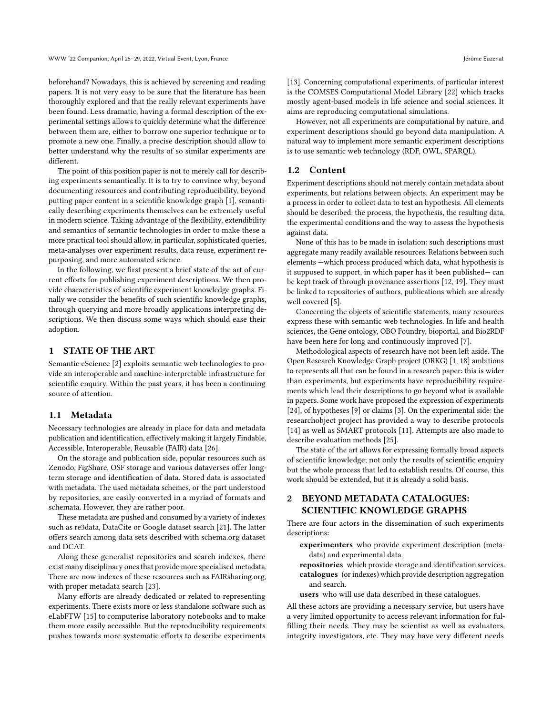WWW '22 Companion, April 25–29, 2022, Virtual Event, Lyon, France Jérôme Euzenat Jérôme Euzenat

beforehand? Nowadays, this is achieved by screening and reading papers. It is not very easy to be sure that the literature has been thoroughly explored and that the really relevant experiments have been found. Less dramatic, having a formal description of the experimental settings allows to quickly determine what the difference between them are, either to borrow one superior technique or to promote a new one. Finally, a precise description should allow to better understand why the results of so similar experiments are different.

The point of this position paper is not to merely call for describing experiments semantically. It is to try to convince why, beyond documenting resources and contributing reproducibility, beyond putting paper content in a scientific knowledge graph [\[1\]](#page-4-1), semantically describing experiments themselves can be extremely useful in modern science. Taking advantage of the flexibility, extendibility and semantics of semantic technologies in order to make these a more practical tool should allow, in particular, sophisticated queries, meta-analyses over experiment results, data reuse, experiment repurposing, and more automated science.

In the following, we first present a brief state of the art of current efforts for publishing experiment descriptions. We then provide characteristics of scientific experiment knowledge graphs. Finally we consider the benefits of such scientific knowledge graphs, through querying and more broadly applications interpreting descriptions. We then discuss some ways which should ease their adoption.

### 1 STATE OF THE ART

Semantic eScience [\[2\]](#page-4-6) exploits semantic web technologies to provide an interoperable and machine-interpretable infrastructure for scientific enquiry. Within the past years, it has been a continuing source of attention.

### 1.1 Metadata

Necessary technologies are already in place for data and metadata publication and identification, effectively making it largely Findable, Accessible, Interoperable, Reusable (FAIR) data [\[26\]](#page-4-7).

On the storage and publication side, popular resources such as Zenodo, FigShare, OSF storage and various dataverses offer longterm storage and identification of data. Stored data is associated with metadata. The used metadata schemes, or the part understood by repositories, are easily converted in a myriad of formats and schemata. However, they are rather poor.

These metadata are pushed and consumed by a variety of indexes such as re3data, DataCite or Google dataset search [\[21\]](#page-4-8). The latter offers search among data sets described with schema.org dataset and DCAT.

Along these generalist repositories and search indexes, there exist many disciplinary ones that provide more specialised metadata. There are now indexes of these resources such as FAIRsharing.org, with proper metadata search [\[23\]](#page-4-9).

Many efforts are already dedicated or related to representing experiments. There exists more or less standalone software such as eLabFTW [\[15\]](#page-4-10) to computerise laboratory notebooks and to make them more easily accessible. But the reproducibility requirements pushes towards more systematic efforts to describe experiments

However, not all experiments are computational by nature, and experiment descriptions should go beyond data manipulation. A natural way to implement more semantic experiment descriptions is to use semantic web technology (RDF, OWL, SPARQL).

### 1.2 Content

Experiment descriptions should not merely contain metadata about experiments, but relations between objects. An experiment may be a process in order to collect data to test an hypothesis. All elements should be described: the process, the hypothesis, the resulting data, the experimental conditions and the way to assess the hypothesis against data.

None of this has to be made in isolation: such descriptions must aggregate many readily available resources. Relations between such elements —which process produced which data, what hypothesis is it supposed to support, in which paper has it been published— can be kept track of through provenance assertions [\[12,](#page-4-3) [19\]](#page-4-13). They must be linked to repositories of authors, publications which are already well covered [\[5\]](#page-4-14).

Concerning the objects of scientific statements, many resources express these with semantic web technologies. In life and health sciences, the Gene ontology, OBO Foundry, bioportal, and Bio2RDF have been here for long and continuously improved [\[7\]](#page-4-15).

Methodological aspects of research have not been left aside. The Open Research Knowledge Graph project (ORKG) [\[1,](#page-4-1) [18\]](#page-4-16) ambitions to represents all that can be found in a research paper: this is wider than experiments, but experiments have reproducibility requirements which lead their descriptions to go beyond what is available in papers. Some work have proposed the expression of experiments [\[24\]](#page-4-17), of hypotheses [\[9\]](#page-4-18) or claims [\[3\]](#page-4-19). On the experimental side: the researchobject project has provided a way to describe protocols [\[14\]](#page-4-5) as well as SMART protocols [\[11\]](#page-4-4). Attempts are also made to describe evaluation methods [\[25\]](#page-4-20).

The state of the art allows for expressing formally broad aspects of scientific knowledge; not only the results of scientific enquiry but the whole process that led to establish results. Of course, this work should be extended, but it is already a solid basis.

# 2 BEYOND METADATA CATALOGUES: SCIENTIFIC KNOWLEDGE GRAPHS

There are four actors in the dissemination of such experiments descriptions:

- experimenters who provide experiment description (metadata) and experimental data.
- repositories which provide storage and identification services. catalogues (or indexes) which provide description aggregation and search.
- users who will use data described in these catalogues.

All these actors are providing a necessary service, but users have a very limited opportunity to access relevant information for fulfilling their needs. They may be scientist as well as evaluators, integrity investigators, etc. They may have very different needs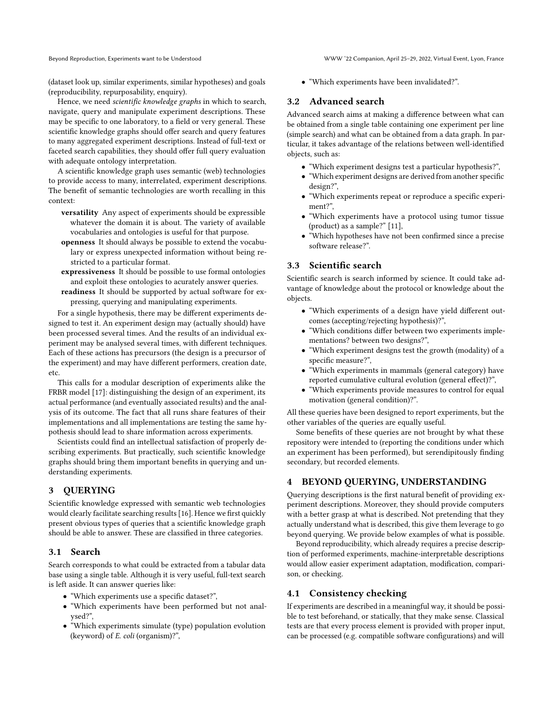Beyond Reproduction, Experiments want to be Understood WWW '22 Companion, April 25–29, 2022, Virtual Event, Lyon, France

(dataset look up, similar experiments, similar hypotheses) and goals (reproducibility, repurposability, enquiry).

Hence, we need scientific knowledge graphs in which to search, navigate, query and manipulate experiment descriptions. These may be specific to one laboratory, to a field or very general. These scientific knowledge graphs should offer search and query features to many aggregated experiment descriptions. Instead of full-text or faceted search capabilities, they should offer full query evaluation with adequate ontology interpretation.

A scientific knowledge graph uses semantic (web) technologies to provide access to many, interrelated, experiment descriptions. The benefit of semantic technologies are worth recalling in this context:

- versatility Any aspect of experiments should be expressible whatever the domain it is about. The variety of available vocabularies and ontologies is useful for that purpose.
- openness It should always be possible to extend the vocabulary or express unexpected information without being restricted to a particular format.
- expressiveness It should be possible to use formal ontologies and exploit these ontologies to acurately answer queries.
- readiness It should be supported by actual software for expressing, querying and manipulating experiments.

For a single hypothesis, there may be different experiments designed to test it. An experiment design may (actually should) have been processed several times. And the results of an individual experiment may be analysed several times, with different techniques. Each of these actions has precursors (the design is a precursor of the experiment) and may have different performers, creation date, etc.

This calls for a modular description of experiments alike the FRBR model [\[17\]](#page-4-21): distinguishing the design of an experiment, its actual performance (and eventually associated results) and the analysis of its outcome. The fact that all runs share features of their implementations and all implementations are testing the same hypothesis should lead to share information across experiments.

Scientists could find an intellectual satisfaction of properly describing experiments. But practically, such scientific knowledge graphs should bring them important benefits in querying and understanding experiments.

# 3 QUERYING

Scientific knowledge expressed with semantic web technologies would clearly facilitate searching results [\[16\]](#page-4-22). Hence we first quickly present obvious types of queries that a scientific knowledge graph should be able to answer. These are classified in three categories.

### 3.1 Search

Search corresponds to what could be extracted from a tabular data base using a single table. Although it is very useful, full-text search is left aside. It can answer queries like:

- "Which experiments use a specific dataset?",
- "Which experiments have been performed but not analysed?",
- "Which experiments simulate (type) population evolution (keyword) of E. coli (organism)?",

• "Which experiments have been invalidated?".

### 3.2 Advanced search

Advanced search aims at making a difference between what can be obtained from a single table containing one experiment per line (simple search) and what can be obtained from a data graph. In particular, it takes advantage of the relations between well-identified objects, such as:

- "Which experiment designs test a particular hypothesis?",
- "Which experiment designs are derived from another specific design?",
- "Which experiments repeat or reproduce a specific experiment?",
- "Which experiments have a protocol using tumor tissue (product) as a sample?" [\[11\]](#page-4-4),
- "Which hypotheses have not been confirmed since a precise software release?".

# 3.3 Scientific search

Scientific search is search informed by science. It could take advantage of knowledge about the protocol or knowledge about the objects.

- "Which experiments of a design have yield different outcomes (accepting/rejecting hypothesis)?",
- "Which conditions differ between two experiments implementations? between two designs?",
- "Which experiment designs test the growth (modality) of a specific measure?",
- "Which experiments in mammals (general category) have reported cumulative cultural evolution (general effect)?",
- "Which experiments provide measures to control for equal motivation (general condition)?".

All these queries have been designed to report experiments, but the other variables of the queries are equally useful.

Some benefits of these queries are not brought by what these repository were intended to (reporting the conditions under which an experiment has been performed), but serendipitously finding secondary, but recorded elements.

# 4 BEYOND QUERYING, UNDERSTANDING

Querying descriptions is the first natural benefit of providing experiment descriptions. Moreover, they should provide computers with a better grasp at what is described. Not pretending that they actually understand what is described, this give them leverage to go beyond querying. We provide below examples of what is possible.

Beyond reproducibility, which already requires a precise description of performed experiments, machine-interpretable descriptions would allow easier experiment adaptation, modification, comparison, or checking.

## 4.1 Consistency checking

If experiments are described in a meaningful way, it should be possible to test beforehand, or statically, that they make sense. Classical tests are that every process element is provided with proper input, can be processed (e.g. compatible software configurations) and will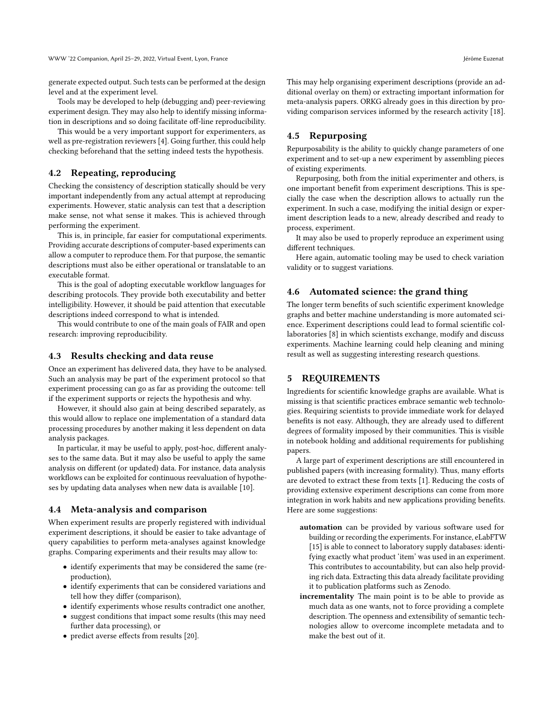generate expected output. Such tests can be performed at the design level and at the experiment level.

Tools may be developed to help (debugging and) peer-reviewing experiment design. They may also help to identify missing information in descriptions and so doing facilitate off-line reproducibility.

This would be a very important support for experimenters, as well as pre-registration reviewers [\[4\]](#page-4-23). Going further, this could help checking beforehand that the setting indeed tests the hypothesis.

### 4.2 Repeating, reproducing

Checking the consistency of description statically should be very important independently from any actual attempt at reproducing experiments. However, static analysis can test that a description make sense, not what sense it makes. This is achieved through performing the experiment.

This is, in principle, far easier for computational experiments. Providing accurate descriptions of computer-based experiments can allow a computer to reproduce them. For that purpose, the semantic descriptions must also be either operational or translatable to an executable format.

This is the goal of adopting executable workflow languages for describing protocols. They provide both executability and better intelligibility. However, it should be paid attention that executable descriptions indeed correspond to what is intended.

This would contribute to one of the main goals of FAIR and open research: improving reproducibility.

### 4.3 Results checking and data reuse

Once an experiment has delivered data, they have to be analysed. Such an analysis may be part of the experiment protocol so that experiment processing can go as far as providing the outcome: tell if the experiment supports or rejects the hypothesis and why.

However, it should also gain at being described separately, as this would allow to replace one implementation of a standard data processing procedures by another making it less dependent on data analysis packages.

In particular, it may be useful to apply, post-hoc, different analyses to the same data. But it may also be useful to apply the same analysis on different (or updated) data. For instance, data analysis workflows can be exploited for continuous reevaluation of hypotheses by updating data analyses when new data is available [\[10\]](#page-4-24).

### 4.4 Meta-analysis and comparison

When experiment results are properly registered with individual experiment descriptions, it should be easier to take advantage of query capabilities to perform meta-analyses against knowledge graphs. Comparing experiments and their results may allow to:

- identify experiments that may be considered the same (reproduction),
- identify experiments that can be considered variations and tell how they differ (comparison),
- identify experiments whose results contradict one another,
- suggest conditions that impact some results (this may need further data processing), or
- predict averse effects from results [\[20\]](#page-4-25).

This may help organising experiment descriptions (provide an additional overlay on them) or extracting important information for meta-analysis papers. ORKG already goes in this direction by providing comparison services informed by the research activity [\[18\]](#page-4-16).

### 4.5 Repurposing

Repurposability is the ability to quickly change parameters of one experiment and to set-up a new experiment by assembling pieces of existing experiments.

Repurposing, both from the initial experimenter and others, is one important benefit from experiment descriptions. This is specially the case when the description allows to actually run the experiment. In such a case, modifying the initial design or experiment description leads to a new, already described and ready to process, experiment.

It may also be used to properly reproduce an experiment using different techniques.

Here again, automatic tooling may be used to check variation validity or to suggest variations.

### 4.6 Automated science: the grand thing

The longer term benefits of such scientific experiment knowledge graphs and better machine understanding is more automated science. Experiment descriptions could lead to formal scientific collaboratories [\[8\]](#page-4-26) in which scientists exchange, modify and discuss experiments. Machine learning could help cleaning and mining result as well as suggesting interesting research questions.

### 5 REQUIREMENTS

Ingredients for scientific knowledge graphs are available. What is missing is that scientific practices embrace semantic web technologies. Requiring scientists to provide immediate work for delayed benefits is not easy. Although, they are already used to different degrees of formality imposed by their communities. This is visible in notebook holding and additional requirements for publishing papers.

A large part of experiment descriptions are still encountered in published papers (with increasing formality). Thus, many efforts are devoted to extract these from texts [\[1\]](#page-4-1). Reducing the costs of providing extensive experiment descriptions can come from more integration in work habits and new applications providing benefits. Here are some suggestions:

- automation can be provided by various software used for building or recording the experiments. For instance, eLabFTW [\[15\]](#page-4-10) is able to connect to laboratory supply databases: identifying exactly what product 'item' was used in an experiment. This contributes to accountability, but can also help providing rich data. Extracting this data already facilitate providing it to publication platforms such as Zenodo.
- incrementality The main point is to be able to provide as much data as one wants, not to force providing a complete description. The openness and extensibility of semantic technologies allow to overcome incomplete metadata and to make the best out of it.